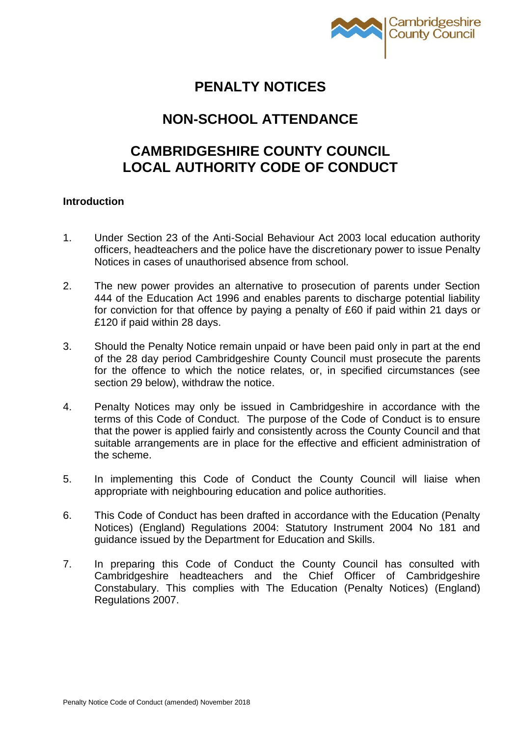

# **PENALTY NOTICES**

# **NON-SCHOOL ATTENDANCE**

# **CAMBRIDGESHIRE COUNTY COUNCIL LOCAL AUTHORITY CODE OF CONDUCT**

# **Introduction**

- 1. Under Section 23 of the Anti-Social Behaviour Act 2003 local education authority officers, headteachers and the police have the discretionary power to issue Penalty Notices in cases of unauthorised absence from school.
- 2. The new power provides an alternative to prosecution of parents under Section 444 of the Education Act 1996 and enables parents to discharge potential liability for conviction for that offence by paying a penalty of £60 if paid within 21 days or £120 if paid within 28 days.
- 3. Should the Penalty Notice remain unpaid or have been paid only in part at the end of the 28 day period Cambridgeshire County Council must prosecute the parents for the offence to which the notice relates, or, in specified circumstances (see section 29 below), withdraw the notice.
- 4. Penalty Notices may only be issued in Cambridgeshire in accordance with the terms of this Code of Conduct. The purpose of the Code of Conduct is to ensure that the power is applied fairly and consistently across the County Council and that suitable arrangements are in place for the effective and efficient administration of the scheme.
- 5. In implementing this Code of Conduct the County Council will liaise when appropriate with neighbouring education and police authorities.
- 6. This Code of Conduct has been drafted in accordance with the Education (Penalty Notices) (England) Regulations 2004: Statutory Instrument 2004 No 181 and guidance issued by the Department for Education and Skills.
- 7. In preparing this Code of Conduct the County Council has consulted with Cambridgeshire headteachers and the Chief Officer of Cambridgeshire Constabulary. This complies with The Education (Penalty Notices) (England) Regulations 2007.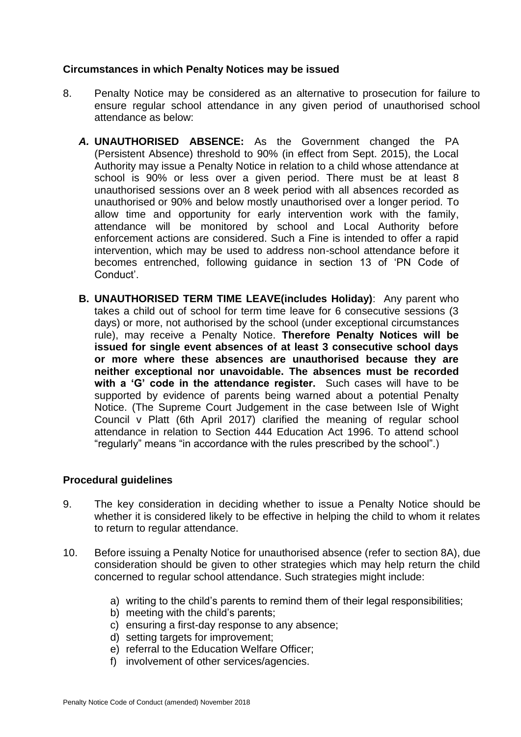# **Circumstances in which Penalty Notices may be issued**

- 8. Penalty Notice may be considered as an alternative to prosecution for failure to ensure regular school attendance in any given period of unauthorised school attendance as below:
	- *A.* **UNAUTHORISED ABSENCE:** As the Government changed the PA (Persistent Absence) threshold to 90% (in effect from Sept. 2015), the Local Authority may issue a Penalty Notice in relation to a child whose attendance at school is 90% or less over a given period. There must be at least 8 unauthorised sessions over an 8 week period with all absences recorded as unauthorised or 90% and below mostly unauthorised over a longer period. To allow time and opportunity for early intervention work with the family, attendance will be monitored by school and Local Authority before enforcement actions are considered. Such a Fine is intended to offer a rapid intervention, which may be used to address non-school attendance before it becomes entrenched, following guidance in section 13 of 'PN Code of Conduct'.
	- **B. UNAUTHORISED TERM TIME LEAVE(includes Holiday)**: Any parent who takes a child out of school for term time leave for 6 consecutive sessions (3 days) or more, not authorised by the school (under exceptional circumstances rule), may receive a Penalty Notice. **Therefore Penalty Notices will be issued for single event absences of at least 3 consecutive school days or more where these absences are unauthorised because they are neither exceptional nor unavoidable. The absences must be recorded with a 'G' code in the attendance register.** Such cases will have to be supported by evidence of parents being warned about a potential Penalty Notice. (The Supreme Court Judgement in the case between Isle of Wight Council v Platt (6th April 2017) clarified the meaning of regular school attendance in relation to Section 444 Education Act 1996. To attend school "regularly" means "in accordance with the rules prescribed by the school".)

# **Procedural guidelines**

- 9. The key consideration in deciding whether to issue a Penalty Notice should be whether it is considered likely to be effective in helping the child to whom it relates to return to regular attendance.
- 10. Before issuing a Penalty Notice for unauthorised absence (refer to section 8A), due consideration should be given to other strategies which may help return the child concerned to regular school attendance. Such strategies might include:
	- a) writing to the child's parents to remind them of their legal responsibilities;
	- b) meeting with the child's parents;
	- c) ensuring a first-day response to any absence;
	- d) setting targets for improvement;
	- e) referral to the Education Welfare Officer;
	- f) involvement of other services/agencies.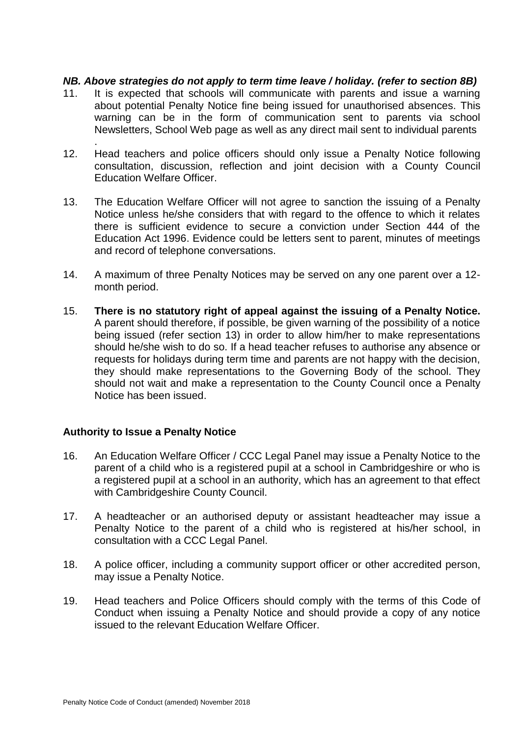# *NB. Above strategies do not apply to term time leave / holiday. (refer to section 8B)*

- 11. It is expected that schools will communicate with parents and issue a warning about potential Penalty Notice fine being issued for unauthorised absences. This warning can be in the form of communication sent to parents via school Newsletters, School Web page as well as any direct mail sent to individual parents
- 12. Head teachers and police officers should only issue a Penalty Notice following consultation, discussion, reflection and joint decision with a County Council Education Welfare Officer.
- 13. The Education Welfare Officer will not agree to sanction the issuing of a Penalty Notice unless he/she considers that with regard to the offence to which it relates there is sufficient evidence to secure a conviction under Section 444 of the Education Act 1996. Evidence could be letters sent to parent, minutes of meetings and record of telephone conversations.
- 14. A maximum of three Penalty Notices may be served on any one parent over a 12 month period.
- 15. **There is no statutory right of appeal against the issuing of a Penalty Notice.** A parent should therefore, if possible, be given warning of the possibility of a notice being issued (refer section 13) in order to allow him/her to make representations should he/she wish to do so. If a head teacher refuses to authorise any absence or requests for holidays during term time and parents are not happy with the decision, they should make representations to the Governing Body of the school. They should not wait and make a representation to the County Council once a Penalty Notice has been issued.

#### **Authority to Issue a Penalty Notice**

.

- 16. An Education Welfare Officer / CCC Legal Panel may issue a Penalty Notice to the parent of a child who is a registered pupil at a school in Cambridgeshire or who is a registered pupil at a school in an authority, which has an agreement to that effect with Cambridgeshire County Council.
- 17. A headteacher or an authorised deputy or assistant headteacher may issue a Penalty Notice to the parent of a child who is registered at his/her school, in consultation with a CCC Legal Panel.
- 18. A police officer, including a community support officer or other accredited person, may issue a Penalty Notice.
- 19. Head teachers and Police Officers should comply with the terms of this Code of Conduct when issuing a Penalty Notice and should provide a copy of any notice issued to the relevant Education Welfare Officer.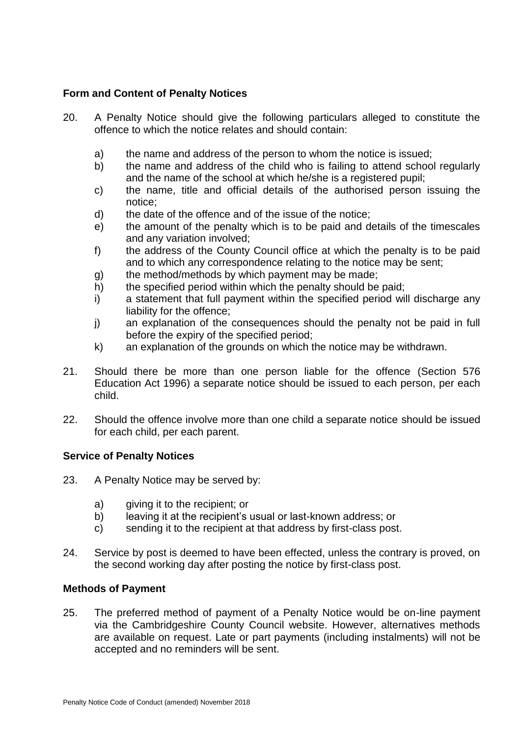# **Form and Content of Penalty Notices**

- 20. A Penalty Notice should give the following particulars alleged to constitute the offence to which the notice relates and should contain:
	- a) the name and address of the person to whom the notice is issued;
	- b) the name and address of the child who is failing to attend school regularly and the name of the school at which he/she is a registered pupil;
	- c) the name, title and official details of the authorised person issuing the notice;
	- d) the date of the offence and of the issue of the notice;
	- e) the amount of the penalty which is to be paid and details of the timescales and any variation involved;
	- f) the address of the County Council office at which the penalty is to be paid and to which any correspondence relating to the notice may be sent;
	- g) the method/methods by which payment may be made;
	- h) the specified period within which the penalty should be paid;
	- i) a statement that full payment within the specified period will discharge any liability for the offence;
	- j) an explanation of the consequences should the penalty not be paid in full before the expiry of the specified period;
	- k) an explanation of the grounds on which the notice may be withdrawn.
- 21. Should there be more than one person liable for the offence (Section 576 Education Act 1996) a separate notice should be issued to each person, per each child.
- 22. Should the offence involve more than one child a separate notice should be issued for each child, per each parent.

# **Service of Penalty Notices**

- 23. A Penalty Notice may be served by:
	- a) giving it to the recipient; or
	- b) leaving it at the recipient's usual or last-known address; or
	- c) sending it to the recipient at that address by first-class post.
- 24. Service by post is deemed to have been effected, unless the contrary is proved, on the second working day after posting the notice by first-class post.

# **Methods of Payment**

25. The preferred method of payment of a Penalty Notice would be on-line payment via the Cambridgeshire County Council website. However, alternatives methods are available on request. Late or part payments (including instalments) will not be accepted and no reminders will be sent.